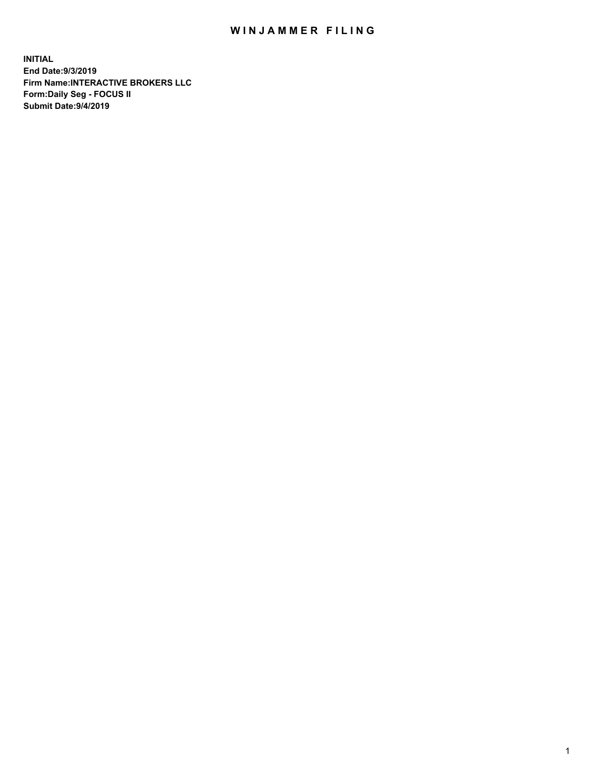## WIN JAMMER FILING

**INITIAL End Date:9/3/2019 Firm Name:INTERACTIVE BROKERS LLC Form:Daily Seg - FOCUS II Submit Date:9/4/2019**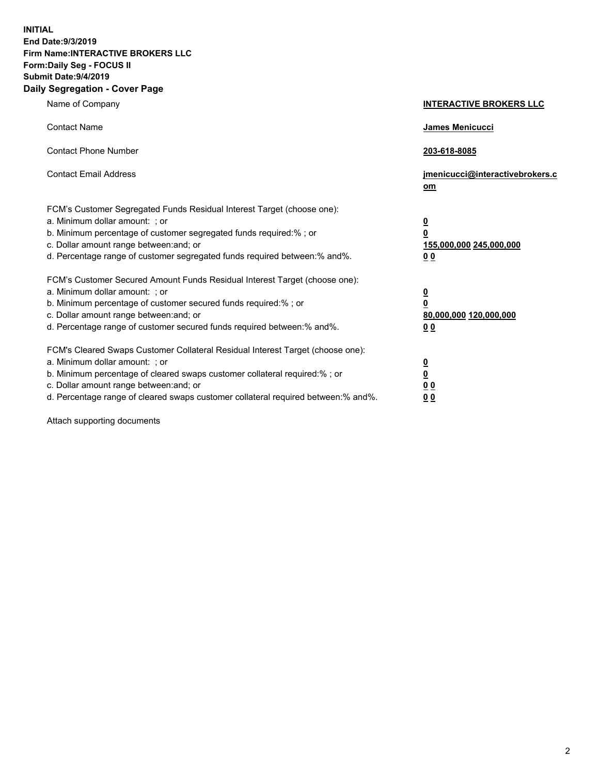**INITIAL End Date:9/3/2019 Firm Name:INTERACTIVE BROKERS LLC Form:Daily Seg - FOCUS II Submit Date:9/4/2019 Daily Segregation - Cover Page**

| Name of Company                                                                                                                                                                                                                                                                                                                | <b>INTERACTIVE BROKERS LLC</b>                                                      |
|--------------------------------------------------------------------------------------------------------------------------------------------------------------------------------------------------------------------------------------------------------------------------------------------------------------------------------|-------------------------------------------------------------------------------------|
| <b>Contact Name</b>                                                                                                                                                                                                                                                                                                            | James Menicucci                                                                     |
| <b>Contact Phone Number</b>                                                                                                                                                                                                                                                                                                    | 203-618-8085                                                                        |
| <b>Contact Email Address</b>                                                                                                                                                                                                                                                                                                   | jmenicucci@interactivebrokers.c<br>om                                               |
| FCM's Customer Segregated Funds Residual Interest Target (choose one):<br>a. Minimum dollar amount: ; or<br>b. Minimum percentage of customer segregated funds required:% ; or<br>c. Dollar amount range between: and; or<br>d. Percentage range of customer segregated funds required between:% and%.                         | $\overline{\mathbf{0}}$<br>$\overline{\mathbf{0}}$<br>155,000,000 245,000,000<br>00 |
| FCM's Customer Secured Amount Funds Residual Interest Target (choose one):<br>a. Minimum dollar amount: ; or<br>b. Minimum percentage of customer secured funds required:% ; or<br>c. Dollar amount range between: and; or<br>d. Percentage range of customer secured funds required between:% and%.                           | $\overline{\mathbf{0}}$<br>$\pmb{0}$<br>80,000,000 120,000,000<br>00                |
| FCM's Cleared Swaps Customer Collateral Residual Interest Target (choose one):<br>a. Minimum dollar amount: ; or<br>b. Minimum percentage of cleared swaps customer collateral required:% ; or<br>c. Dollar amount range between: and; or<br>d. Percentage range of cleared swaps customer collateral required between:% and%. | $\overline{\mathbf{0}}$<br>$\underline{\mathbf{0}}$<br>0 <sub>0</sub><br>00         |

Attach supporting documents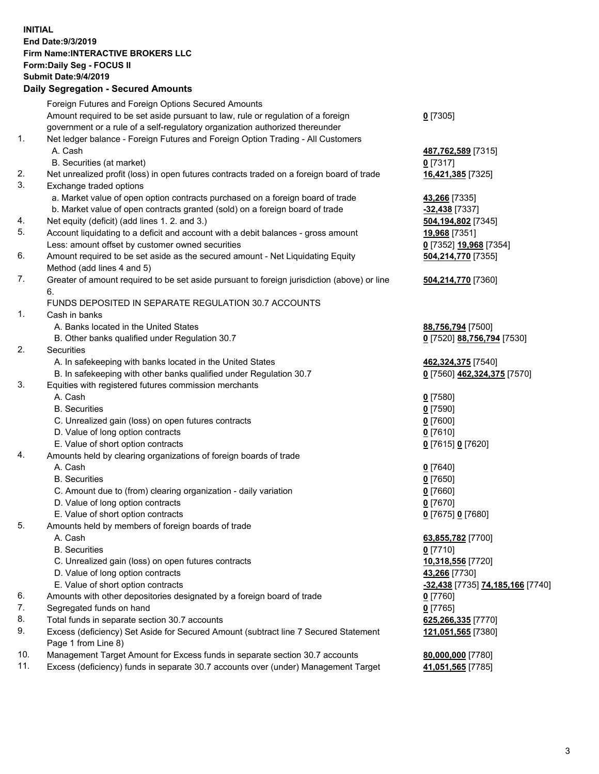## **INITIAL End Date:9/3/2019 Firm Name:INTERACTIVE BROKERS LLC Form:Daily Seg - FOCUS II Submit Date:9/4/2019 Daily Segregation - Secured Amounts**

|     | 2011, Ocgi ogation - Oceaned Anioanita                                                                     |                                  |
|-----|------------------------------------------------------------------------------------------------------------|----------------------------------|
|     | Foreign Futures and Foreign Options Secured Amounts                                                        |                                  |
|     | Amount required to be set aside pursuant to law, rule or regulation of a foreign                           | $0$ [7305]                       |
|     | government or a rule of a self-regulatory organization authorized thereunder                               |                                  |
| 1.  | Net ledger balance - Foreign Futures and Foreign Option Trading - All Customers                            |                                  |
|     | A. Cash                                                                                                    | 487,762,589 [7315]               |
|     | B. Securities (at market)                                                                                  | $0$ [7317]                       |
| 2.  | Net unrealized profit (loss) in open futures contracts traded on a foreign board of trade                  | 16,421,385 [7325]                |
| 3.  | Exchange traded options                                                                                    |                                  |
|     | a. Market value of open option contracts purchased on a foreign board of trade                             | <b>43,266</b> [7335]             |
|     | b. Market value of open contracts granted (sold) on a foreign board of trade                               | -32,438 [7337]                   |
| 4.  | Net equity (deficit) (add lines 1. 2. and 3.)                                                              | 504,194,802 [7345]               |
| 5.  | Account liquidating to a deficit and account with a debit balances - gross amount                          | 19,968 [7351]                    |
|     | Less: amount offset by customer owned securities                                                           | 0 [7352] 19,968 [7354]           |
| 6.  | Amount required to be set aside as the secured amount - Net Liquidating Equity                             | 504,214,770 [7355]               |
|     | Method (add lines 4 and 5)                                                                                 |                                  |
| 7.  | Greater of amount required to be set aside pursuant to foreign jurisdiction (above) or line<br>6.          | 504,214,770 [7360]               |
|     | FUNDS DEPOSITED IN SEPARATE REGULATION 30.7 ACCOUNTS                                                       |                                  |
| 1.  | Cash in banks                                                                                              |                                  |
|     | A. Banks located in the United States                                                                      | 88,756,794 [7500]                |
|     | B. Other banks qualified under Regulation 30.7                                                             | 0 [7520] 88,756,794 [7530]       |
| 2.  | Securities                                                                                                 |                                  |
|     | A. In safekeeping with banks located in the United States                                                  | 462,324,375 [7540]               |
|     | B. In safekeeping with other banks qualified under Regulation 30.7                                         | 0 [7560] 462,324,375 [7570]      |
| 3.  | Equities with registered futures commission merchants                                                      |                                  |
|     | A. Cash                                                                                                    | $0$ [7580]                       |
|     | <b>B.</b> Securities                                                                                       | $0$ [7590]                       |
|     | C. Unrealized gain (loss) on open futures contracts                                                        | $0$ [7600]                       |
|     | D. Value of long option contracts                                                                          | $0$ [7610]                       |
|     | E. Value of short option contracts                                                                         | 0 [7615] 0 [7620]                |
| 4.  | Amounts held by clearing organizations of foreign boards of trade                                          |                                  |
|     | A. Cash                                                                                                    | $0$ [7640]                       |
|     | <b>B.</b> Securities                                                                                       | $0$ [7650]                       |
|     | C. Amount due to (from) clearing organization - daily variation                                            | $0$ [7660]                       |
|     | D. Value of long option contracts                                                                          | $0$ [7670]                       |
|     | E. Value of short option contracts                                                                         | 0 [7675] 0 [7680]                |
| 5.  | Amounts held by members of foreign boards of trade                                                         |                                  |
|     | A. Cash                                                                                                    | 63,855,782 [7700]                |
|     | <b>B.</b> Securities                                                                                       | $0$ [7710]                       |
|     | C. Unrealized gain (loss) on open futures contracts                                                        | 10,318,556 [7720]                |
|     | D. Value of long option contracts                                                                          | 43,266 [7730]                    |
|     | E. Value of short option contracts                                                                         | -32,438 [7735] 74,185,166 [7740] |
| 6.  | Amounts with other depositories designated by a foreign board of trade                                     | 0 [7760]                         |
| 7.  | Segregated funds on hand                                                                                   | $0$ [7765]                       |
| 8.  | Total funds in separate section 30.7 accounts                                                              | 625,266,335 [7770]               |
| 9.  | Excess (deficiency) Set Aside for Secured Amount (subtract line 7 Secured Statement<br>Page 1 from Line 8) | 121,051,565 [7380]               |
| 10. | Management Target Amount for Excess funds in separate section 30.7 accounts                                | 80,000,000 [7780]                |
| 11. | Excess (deficiency) funds in separate 30.7 accounts over (under) Management Target                         | 41,051,565 [7785]                |
|     |                                                                                                            |                                  |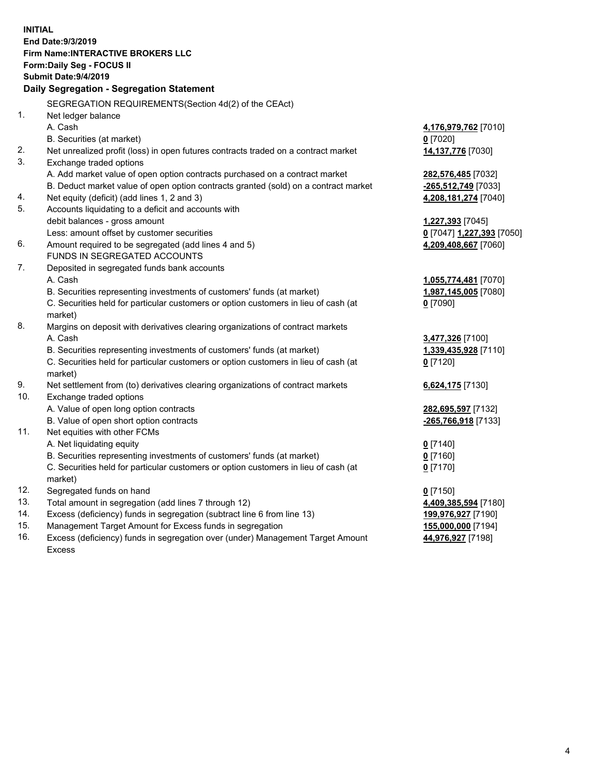**INITIAL End Date:9/3/2019 Firm Name:INTERACTIVE BROKERS LLC Form:Daily Seg - FOCUS II Submit Date:9/4/2019 Daily Segregation - Segregation Statement** SEGREGATION REQUIREMENTS(Section 4d(2) of the CEAct) 1. Net ledger balance A. Cash **4,176,979,762** [7010] B. Securities (at market) **0** [7020] 2. Net unrealized profit (loss) in open futures contracts traded on a contract market **14,137,776** [7030] 3. Exchange traded options A. Add market value of open option contracts purchased on a contract market **282,576,485** [7032] B. Deduct market value of open option contracts granted (sold) on a contract market **-265,512,749** [7033] 4. Net equity (deficit) (add lines 1, 2 and 3) **4,208,181,274** [7040] 5. Accounts liquidating to a deficit and accounts with debit balances - gross amount **1,227,393** [7045] Less: amount offset by customer securities **0** [7047] **1,227,393** [7050] 6. Amount required to be segregated (add lines 4 and 5) **4,209,408,667** [7060] FUNDS IN SEGREGATED ACCOUNTS 7. Deposited in segregated funds bank accounts A. Cash **1,055,774,481** [7070] B. Securities representing investments of customers' funds (at market) **1,987,145,005** [7080] C. Securities held for particular customers or option customers in lieu of cash (at market) **0** [7090] 8. Margins on deposit with derivatives clearing organizations of contract markets A. Cash **3,477,326** [7100] B. Securities representing investments of customers' funds (at market) **1,339,435,928** [7110] C. Securities held for particular customers or option customers in lieu of cash (at market) **0** [7120] 9. Net settlement from (to) derivatives clearing organizations of contract markets **6,624,175** [7130] 10. Exchange traded options A. Value of open long option contracts **282,695,597** [7132] B. Value of open short option contracts **-265,766,918** [7133] 11. Net equities with other FCMs A. Net liquidating equity **0** [7140] B. Securities representing investments of customers' funds (at market) **0** [7160] C. Securities held for particular customers or option customers in lieu of cash (at market) **0** [7170] 12. Segregated funds on hand **0** [7150] 13. Total amount in segregation (add lines 7 through 12) **4,409,385,594** [7180] 14. Excess (deficiency) funds in segregation (subtract line 6 from line 13) **199,976,927** [7190] 15. Management Target Amount for Excess funds in segregation **155,000,000** [7194] **44,976,927** [7198]

16. Excess (deficiency) funds in segregation over (under) Management Target Amount Excess